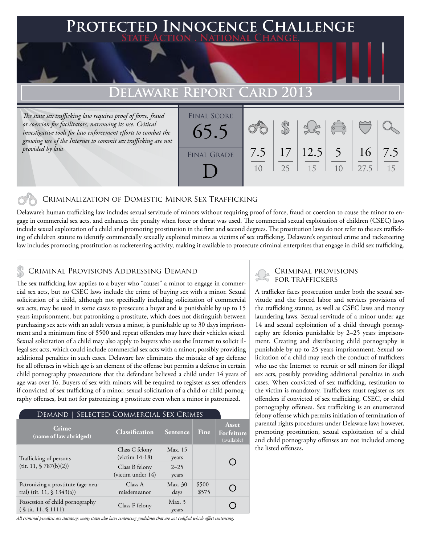### **FED INNOCENCE CHALLENGE State Action . National Change.**

## **Delaware Report Card 2013**

*The state sex trafficking law requires proof of force, fraud or coercion for facilitators, narrowing its use. Critical investigative tools for law enforcement efforts to combat the growing use of the Internet to commit sex trafficking are not provided by law.*

| <b>FINAL SCORE</b><br>65.5 |           |    |                 | $\begin{pmatrix} 1 & 1 \\ 0 & 1 \end{pmatrix}$ |            |           |
|----------------------------|-----------|----|-----------------|------------------------------------------------|------------|-----------|
| <b>FINAL GRADE</b>         | 7.5<br>10 | 25 | 17 12.5 5<br>15 | 10                                             | 16<br>27.5 | 7.5<br>15 |

### Criminalization of Domestic Minor Sex Trafficking

Delaware's human trafficking law includes sexual servitude of minors without requiring proof of force, fraud or coercion to cause the minor to engage in commercial sex acts, and enhances the penalty when force or threat was used. The commercial sexual exploitation of children (CSEC) laws include sexual exploitation of a child and promoting prostitution in the first and second degrees. The prostitution laws do not refer to the sex trafficking of children statute to identify commercially sexually exploited minors as victims of sex trafficking. Delaware's organized crime and racketeering law includes promoting prostitution as racketeering activity, making it available to prosecute criminal enterprises that engage in child sex trafficking.

## CRIMINAL PROVISIONS ADDRESSING DEMAND<br>FOR TRAFFICKERS

The sex trafficking law applies to a buyer who "causes" a minor to engage in commercial sex acts, but no CSEC laws include the crime of buying sex with a minor. Sexual solicitation of a child, although not specifically including solicitation of commercial sex acts, may be used in some cases to prosecute a buyer and is punishable by up to 15 years imprisonment, but patronizing a prostitute, which does not distinguish between purchasing sex acts with an adult versus a minor, is punishable up to 30 days imprisonment and a minimum fine of \$500 and repeat offenders may have their vehicles seized. Sexual solicitation of a child may also apply to buyers who use the Internet to solicit illegal sex acts, which could include commercial sex acts with a minor, possibly providing additional penalties in such cases. Delaware law eliminates the mistake of age defense for all offenses in which age is an element of the offense but permits a defense in certain child pornography prosecutions that the defendant believed a child under 14 years of age was over 16. Buyers of sex with minors will be required to register as sex offenders if convicted of sex trafficking of a minor, sexual solicitation of a child or child pornography offenses, but not for patronizing a prostitute even when a minor is patronized.

| SELECTED COMMERCIAL SEX CRIMES<br>DEMAND                                     |                                     |                   |                  |                                    |  |  |  |  |
|------------------------------------------------------------------------------|-------------------------------------|-------------------|------------------|------------------------------------|--|--|--|--|
| Crime<br>(name of law abridged)                                              | Classification                      | <b>Sentence</b>   | Fine             | Asset<br>Forfeiture<br>(available) |  |  |  |  |
| Trafficking of persons                                                       | Class C felony<br>$(victim 14-18)$  | Max. 15<br>years  |                  |                                    |  |  |  |  |
| (tit. 11, $$787(b)(2)$ )                                                     | Class B felony<br>(victim under 14) | $2 - 25$<br>years |                  |                                    |  |  |  |  |
| Patronizing a prostitute (age-neu-<br>tral) (tit. 11, $\frac{1}{9}$ 1343(a)) | Class A<br>misdemeanor              | Max. 30<br>days   | $$500-$<br>\$575 |                                    |  |  |  |  |
| Possession of child pornography<br>$(S$ tit. 11, $S$ 1111)                   | Class F felony                      | Max.3<br>years    |                  |                                    |  |  |  |  |

*All criminal penalties are statutory; many states also have sentencing guidelines that are not codified which affect sentencing.* 

# Criminal provisions

A trafficker faces prosecution under both the sexual servitude and the forced labor and services provisions of the trafficking statute, as well as CSEC laws and money laundering laws. Sexual servitude of a minor under age 14 and sexual exploitation of a child through pornography are felonies punishable by 2–25 years imprisonment. Creating and distributing child pornography is punishable by up to 25 years imprisonment. Sexual solicitation of a child may reach the conduct of traffickers who use the Internet to recruit or sell minors for illegal sex acts, possibly providing additional penalties in such cases. When convicted of sex trafficking, restitution to the victim is mandatory. Traffickers must register as sex offenders if convicted of sex trafficking, CSEC, or child pornography offenses. Sex trafficking is an enumerated felony offense which permits initiation of termination of parental rights procedures under Delaware law; however, promoting prostitution, sexual exploitation of a child and child pornography offenses are not included among the listed offenses.